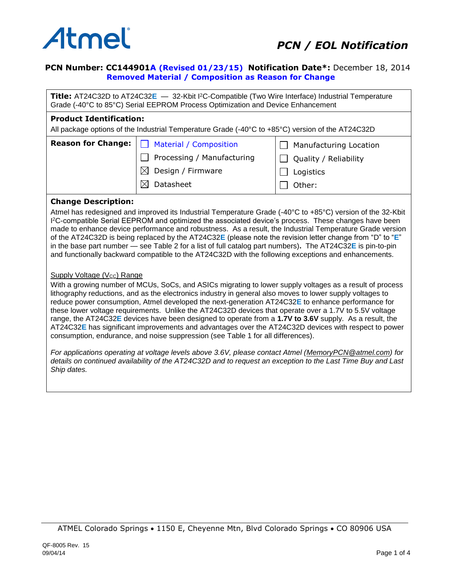

# **PCN Number: CC144901A (Revised 01/23/15) Notification Date\*:** December 18, 2014  **Removed Material / Composition as Reason for Change**

**Title:** AT24C32D to AT24C32**E** — 32-Kbit I<sup>2</sup>C-Compatible (Two Wire Interface) Industrial Temperature Grade (-40°C to 85°C) Serial EEPROM Process Optimization and Device Enhancement

#### **Product Identification:**

All package options of the Industrial Temperature Grade (-40°C to +85°C) version of the AT24C32D

| <b>Reason for Change:</b> | Material / Composition     | Manufacturing Location |  |
|---------------------------|----------------------------|------------------------|--|
|                           | Processing / Manufacturing | Quality / Reliability  |  |
|                           | Design / Firmware          | Logistics              |  |
|                           | Datasheet                  | Other:                 |  |

#### **Change Description:**

Atmel has redesigned and improved its Industrial Temperature Grade (-40°C to +85°C) version of the 32-Kbit I <sup>2</sup>C-compatible Serial EEPROM and optimized the associated device's process. These changes have been made to enhance device performance and robustness. As a result, the Industrial Temperature Grade version of the AT24C32D is being replaced by the AT24C32**E** (please note the revision letter change from "D" to "**E**" in the base part number — see Table 2 for a list of full catalog part numbers)**.** The AT24C32**E** is pin-to-pin and functionally backward compatible to the AT24C32D with the following exceptions and enhancements.

## Supply Voltage (Vcc) Range

With a growing number of MCUs, SoCs, and ASICs migrating to lower supply voltages as a result of process lithography reductions, and as the electronics industry in general also moves to lower supply voltages to reduce power consumption, Atmel developed the next-generation AT24C32**E** to enhance performance for these lower voltage requirements. Unlike the AT24C32D devices that operate over a 1.7V to 5.5V voltage range, the AT24C32**E** devices have been designed to operate from a **1.7V to 3.6V** supply. As a result, the AT24C32**E** has significant improvements and advantages over the AT24C32D devices with respect to power consumption, endurance, and noise suppression (see Table 1 for all differences).

*For applications operating at voltage levels above 3.6V, please contact Atmel [\(MemoryPCN@atmel.com\)](mailto:MemoryPCN@atmel.com) for details on continued availability of the AT24C32D and to request an exception to the Last Time Buy and Last Ship dates.*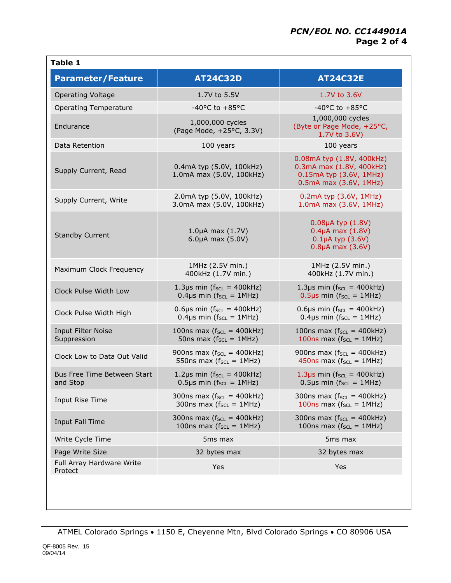| <b>Parameter/Feature</b>                 | <b>AT24C32D</b>                                                                | <b>AT24C32E</b>                                                                                            |
|------------------------------------------|--------------------------------------------------------------------------------|------------------------------------------------------------------------------------------------------------|
| <b>Operating Voltage</b>                 | 1.7V to 5.5V                                                                   | 1.7V to 3.6V                                                                                               |
| <b>Operating Temperature</b>             | -40 $^{\circ}$ C to +85 $^{\circ}$ C                                           | $-40^{\circ}$ C to $+85^{\circ}$ C                                                                         |
| Endurance                                | 1,000,000 cycles<br>(Page Mode, +25°C, 3.3V)                                   | 1,000,000 cycles<br>(Byte or Page Mode, +25°C,<br>1.7V to 3.6V)                                            |
| Data Retention                           | 100 years                                                                      | 100 years                                                                                                  |
| Supply Current, Read                     | 0.4mA typ (5.0V, 100kHz)<br>1.0mA max (5.0V, 100kHz)                           | 0.08mA typ (1.8V, 400kHz)<br>0.3mA max (1.8V, 400kHz)<br>0.15mA typ (3.6V, 1MHz)<br>0.5mA max (3.6V, 1MHz) |
| Supply Current, Write                    | 2.0mA typ (5.0V, 100kHz)<br>3.0mA max (5.0V, 100kHz)                           | 0.2mA typ (3.6V, 1MHz)<br>1.0mA max (3.6V, 1MHz)                                                           |
| <b>Standby Current</b>                   | $1.0\mu A$ max $(1.7V)$<br>$6.0\mu A$ max $(5.0V)$                             | 0.08µA typ (1.8V)<br>$0.4\mu A$ max $(1.8V)$<br>$0.1\mu A$ typ $(3.6V)$<br>$0.8\mu A$ max $(3.6V)$         |
| Maximum Clock Frequency                  | 1MHz (2.5V min.)<br>400kHz (1.7V min.)                                         | 1MHz (2.5V min.)<br>400kHz (1.7V min.)                                                                     |
| Clock Pulse Width Low                    | 1.3 $\mu$ s min ( $f_{SCL}$ = 400kHz)<br>$0.4 \mu s$ min ( $f_{SCL} = 1 MHz$ ) | 1.3µs min ( $f_{SCL}$ = 400kHz)<br>$0.5\mu s$ min ( $f_{SCL} = 1MHz$ )                                     |
| Clock Pulse Width High                   | $0.6\mu s$ min ( $f_{SCL} = 400kHz$ )<br>0.4µs min ( $f_{SCL} = 1$ MHz)        | $0.6\mu s$ min ( $f_{SCL} = 400kHz$ )<br>0.4µs min ( $f_{SCL} = 1MHz$ )                                    |
| <b>Input Filter Noise</b><br>Suppression | 100ns max ( $f_{SCL}$ = 400kHz)<br>50ns max $(f_{SCL} = 1MHz)$                 | 100ns max $(f_{SCL} = 400kHz)$<br>100ns max $(f_{SCL} = 1MHz)$                                             |
| Clock Low to Data Out Valid              | 900ns max $(f_{SCL} = 400kHz)$<br>550ns max ( $f_{SCL} = 1MHz$ )               | 900ns max $(f_{SCL} = 400kHz)$<br>450ns max $(f_{SCL} = 1MHz)$                                             |
| Bus Free Time Between Start<br>and Stop  | 1.2 $\mu$ s min ( $f_{SCL}$ = 400kHz)<br>0.5µs min ( $f_{SCL} = 1MHz$ )        | 1.3 $\mu$ s min ( $f_{SCL}$ = 400kHz)<br>0.5µs min ( $f_{SCL} = 1MHz$ )                                    |
| Input Rise Time                          | 300ns max ( $f_{SCL}$ = 400kHz)<br>300ns max ( $f_{SCL} = 1MHz$ )              | 300ns max $(f_{SCL} = 400kHz)$<br>100ns max ( $f_{SCL} = 1MHz$ )                                           |
| Input Fall Time                          | 300ns max ( $f_{SCL}$ = 400kHz)<br>100ns max ( $f_{SCL} = 1MHz$ )              | 300ns max $(f_{SCL} = 400kHz)$<br>100ns max ( $f_{SCL} = 1MHz$ )                                           |
| Write Cycle Time                         | 5 <sub>ms</sub> max                                                            | 5 <sub>ms</sub> max                                                                                        |
| Page Write Size                          | 32 bytes max                                                                   | 32 bytes max                                                                                               |
| Full Array Hardware Write<br>Protect     | Yes                                                                            | Yes                                                                                                        |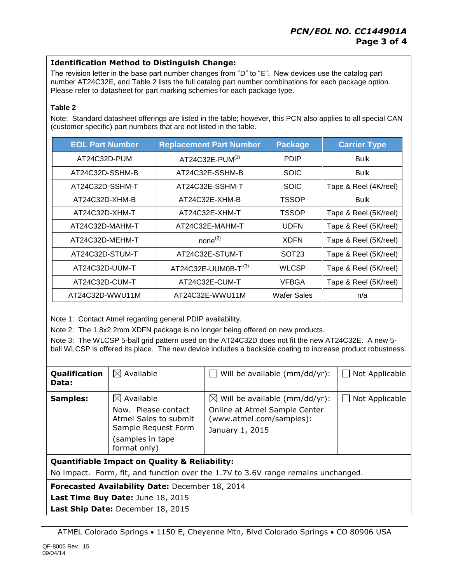# **Identification Method to Distinguish Change:**

The revision letter in the base part number changes from "D" to "**E**". New devices use the catalog part number AT24C32**E**, and Table 2 lists the full catalog part number combinations for each package option. Please refer to datasheet for part marking schemes for each package type.

### **Table 2**

Note: Standard datasheet offerings are listed in the table; however, this PCN also applies to all special CAN (customer specific) part numbers that are not listed in the table.

| <b>EOL Part Number</b>             | <b>Replacement Part Number</b>  | <b>Package</b>     | <b>Carrier Type</b>   |
|------------------------------------|---------------------------------|--------------------|-----------------------|
| AT24C32D-PUM                       | AT24C32E-PUM(1)                 | <b>PDIP</b>        | <b>Bulk</b>           |
| AT24C32D-SSHM-B                    | AT24C32E-SSHM-B                 |                    | <b>Bulk</b>           |
| AT24C32D-SSHM-T                    | AT24C32E-SSHM-T                 | <b>SOIC</b>        | Tape & Reel (4K/reel) |
| AT24C32D-XHM-B                     | AT24C32E-XHM-B                  | TSSOP              | <b>Bulk</b>           |
| AT24C32D-XHM-T                     | AT24C32E-XHM-T                  | TSSOP              | Tape & Reel (5K/reel) |
| AT24C32D-MAHM-T                    | AT24C32E-MAHM-T                 | <b>UDFN</b>        | Tape & Reel (5K/reel) |
| AT24C32D-MEHM-T                    | $none^{(2)}$                    | <b>XDFN</b>        | Tape & Reel (5K/reel) |
| AT24C32D-STUM-T                    | AT24C32E-STUM-T                 | SOT <sub>23</sub>  | Tape & Reel (5K/reel) |
| AT24C32D-UUM-T                     | AT24C32E-UUM0B-T <sup>(3)</sup> | <b>WLCSP</b>       | Tape & Reel (5K/reel) |
| AT24C32D-CUM-T                     | AT24C32E-CUM-T                  |                    | Tape & Reel (5K/reel) |
| AT24C32D-WWU11M<br>AT24C32E-WWU11M |                                 | <b>Wafer Sales</b> | n/a                   |

Note 1: Contact Atmel regarding general PDIP availability.

Note 2: The 1.8x2.2mm XDFN package is no longer being offered on new products.

Note 3: The WLCSP 5-ball grid pattern used on the AT24C32D does not fit the new AT24C32E. A new 5 ball WLCSP is offered its place. The new device includes a backside coating to increase product robustness.

| Qualification<br>Data: | $\boxtimes$ Available                                                                                                            | Will be available (mm/dd/yr):                                                                                             | Not Applicable |
|------------------------|----------------------------------------------------------------------------------------------------------------------------------|---------------------------------------------------------------------------------------------------------------------------|----------------|
| <b>Samples:</b>        | $\boxtimes$ Available<br>Now. Please contact<br>Atmel Sales to submit<br>Sample Request Form<br>(samples in tape<br>format only) | $\boxtimes$ Will be available (mm/dd/yr):<br>Online at Atmel Sample Center<br>(www.atmel.com/samples):<br>January 1, 2015 | Not Applicable |
|                        |                                                                                                                                  |                                                                                                                           |                |

**Quantifiable Impact on Quality & Reliability:**

No impact. Form, fit, and function over the 1.7V to 3.6V range remains unchanged.

**Forecasted Availability Date:** December 18, 2014

Last Time Buy Date: June 18, 2015

**Last Ship Date:** December 18, 2015

ATMEL Colorado Springs 1150 E, Cheyenne Mtn, Blvd Colorado Springs CO 80906 USA